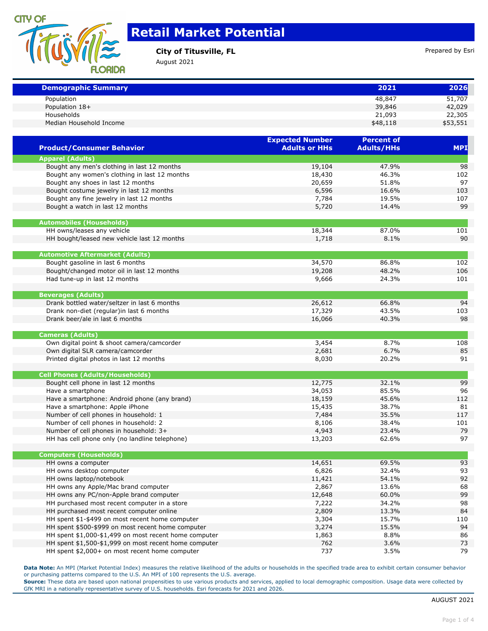

## **Retail Market Potential**

**City of Titusville, FL City of Titusville, FL Prepared by Esri** 

August 2021

| <b>Demographic Summary</b>                    |                        | 2021              | 2026       |
|-----------------------------------------------|------------------------|-------------------|------------|
| Population                                    |                        | 48,847            | 51,707     |
| Population 18+                                |                        | 39,846            | 42,029     |
| Households                                    |                        | 21,093            | 22,305     |
| Median Household Income                       |                        | \$48,118          | \$53,551   |
|                                               | <b>Expected Number</b> | <b>Percent of</b> |            |
| <b>Product/Consumer Behavior</b>              | <b>Adults or HHs</b>   | <b>Adults/HHs</b> | <b>MPI</b> |
| <b>Apparel (Adults)</b>                       |                        |                   |            |
| Bought any men's clothing in last 12 months   | 19,104                 | 47.9%             | 98         |
| Bought any women's clothing in last 12 months | 18,430                 | 46.3%             | 102        |
| Bought any shoes in last 12 months            | 20,659                 | 51.8%             | 97         |
| Bought costume jewelry in last 12 months      | 6,596                  | 16.6%             | 103        |
| Bought any fine jewelry in last 12 months     | 7,784                  | 19.5%             | 107        |
| Bought a watch in last 12 months              | 5,720                  | 14.4%             | 99         |
| <b>Automobiles (Households)</b>               |                        |                   |            |
| HH owns/leases any vehicle                    | 18,344                 | 87.0%             | 101        |
| HH bought/leased new vehicle last 12 months   | 1.718                  | $8.1\%$           | 90         |

| THE DOUGHLY ICASCA TICH VOITICIC TASE 12 THOTICITS | $+111$ | <b>U.L.</b> | ◡   |
|----------------------------------------------------|--------|-------------|-----|
|                                                    |        |             |     |
| <b>Automotive Aftermarket (Adults)</b>             |        |             |     |
| Bought gasoline in last 6 months                   | 34,570 | 86.8%       | 102 |
| Bought/changed motor oil in last 12 months         | 19,208 | 48.2%       | 106 |
| Had tune-up in last 12 months                      | 9,666  | 24.3%       | 101 |
|                                                    |        |             |     |
| <b>Beverages (Adults)</b>                          |        |             |     |
| Drank bottled water/seltzer in last 6 months       | 26,612 | 66.8%       | 94  |
| Drank non-diet (regular) in last 6 months          | 17,329 | 43.5%       | 103 |
| Drank beer/ale in last 6 months                    | 16,066 | 40.3%       | 98  |
|                                                    |        |             |     |
|                                                    |        |             |     |

| Cameras (Adults)                           |       |       |     |
|--------------------------------------------|-------|-------|-----|
| Own digital point & shoot camera/camcorder | 3,454 | 8.7%  | 108 |
| Own digital SLR camera/camcorder           | 2,681 | 6.7%  | 85  |
| Printed digital photos in last 12 months   | 8,030 | 20.2% | 91  |
|                                            |       |       |     |

| <b>Cell Phones (Adults/Households)</b>       |        |       |     |
|----------------------------------------------|--------|-------|-----|
| Bought cell phone in last 12 months          | 12,775 | 32.1% | 99  |
| Have a smartphone                            | 34,053 | 85.5% | 96  |
| Have a smartphone: Android phone (any brand) | 18,159 | 45.6% | 112 |
| Have a smartphone: Apple iPhone              | 15,435 | 38.7% | 81  |
| Number of cell phones in household: 1        | 7,484  | 35.5% | 117 |
| Number of cell phones in household: 2        | 8,106  | 38.4% | 101 |
| Number of cell phones in household: 3+       | 4,943  | 23.4% | 79  |

HH has cell phone only (no landline telephone) 13,203 62.6% 62.6% 97

| <b>Computers (Households)</b>                         |        |       |     |
|-------------------------------------------------------|--------|-------|-----|
| HH owns a computer                                    | 14,651 | 69.5% | 93  |
| HH owns desktop computer                              | 6,826  | 32.4% | 93  |
| HH owns laptop/notebook                               | 11,421 | 54.1% | 92  |
| HH owns any Apple/Mac brand computer                  | 2,867  | 13.6% | 68  |
| HH owns any PC/non-Apple brand computer               | 12,648 | 60.0% | 99  |
| HH purchased most recent computer in a store          | 7,222  | 34.2% | 98  |
| HH purchased most recent computer online              | 2,809  | 13.3% | 84  |
| HH spent \$1-\$499 on most recent home computer       | 3,304  | 15.7% | 110 |
| HH spent \$500-\$999 on most recent home computer     | 3,274  | 15.5% | 94  |
| HH spent \$1,000-\$1,499 on most recent home computer | 1,863  | 8.8%  | 86  |
| HH spent \$1,500-\$1,999 on most recent home computer | 762    | 3.6%  | 73  |
| HH spent \$2,000+ on most recent home computer        | 737    | 3.5%  | 79  |

**Data Note:** An MPI (Market Potential Index) measures the relative likelihood of the adults or households in the specified trade area to exhibit certain consumer behavior or purchasing patterns compared to the U.S. An MPI of 100 represents the U.S. average.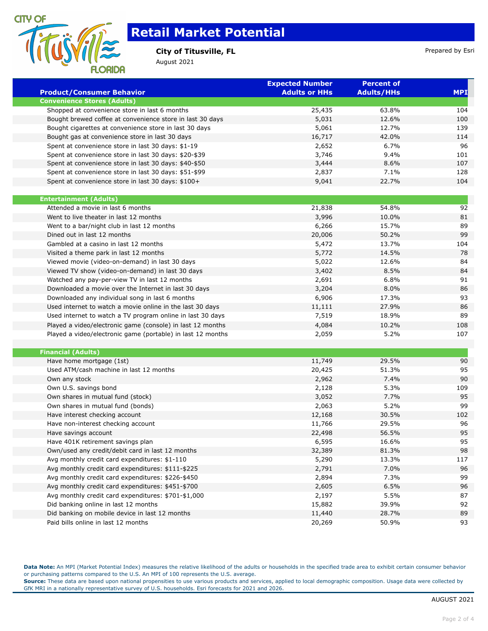

## **Retail Market Potential**

### **City of Titusville, FL City of Titusville, FL Prepared by Esri**

August 2021

|                                                             | <b>Expected Number</b> | <b>Percent of</b> |            |
|-------------------------------------------------------------|------------------------|-------------------|------------|
| <b>Product/Consumer Behavior</b>                            | <b>Adults or HHs</b>   | <b>Adults/HHs</b> | <b>MPI</b> |
| <b>Convenience Stores (Adults)</b>                          |                        |                   |            |
| Shopped at convenience store in last 6 months               | 25,435                 | 63.8%             | 104        |
| Bought brewed coffee at convenience store in last 30 days   | 5,031                  | 12.6%             | 100        |
| Bought cigarettes at convenience store in last 30 days      | 5,061                  | 12.7%             | 139        |
| Bought gas at convenience store in last 30 days             | 16,717                 | 42.0%             | 114        |
| Spent at convenience store in last 30 days: \$1-19          | 2,652                  | 6.7%              | 96         |
| Spent at convenience store in last 30 days: \$20-\$39       | 3,746                  | 9.4%              | 101        |
| Spent at convenience store in last 30 days: \$40-\$50       | 3,444                  | 8.6%              | 107        |
| Spent at convenience store in last 30 days: \$51-\$99       | 2,837                  | 7.1%              | 128        |
| Spent at convenience store in last 30 days: \$100+          | 9,041                  | 22.7%             | 104        |
| <b>Entertainment (Adults)</b>                               |                        |                   |            |
| Attended a movie in last 6 months                           | 21,838                 | 54.8%             | 92         |
| Went to live theater in last 12 months                      | 3,996                  | 10.0%             | 81         |
| Went to a bar/night club in last 12 months                  | 6,266                  | 15.7%             | 89         |
| Dined out in last 12 months                                 | 20,006                 | 50.2%             | 99         |
| Gambled at a casino in last 12 months                       | 5,472                  | 13.7%             | 104        |
| Visited a theme park in last 12 months                      | 5,772                  | 14.5%             | 78         |
| Viewed movie (video-on-demand) in last 30 days              | 5,022                  | 12.6%             | 84         |
| Viewed TV show (video-on-demand) in last 30 days            | 3,402                  | 8.5%              | 84         |
| Watched any pay-per-view TV in last 12 months               | 2,691                  | 6.8%              | 91         |
| Downloaded a movie over the Internet in last 30 days        | 3,204                  | 8.0%              | 86         |
| Downloaded any individual song in last 6 months             | 6,906                  | 17.3%             | 93         |
| Used internet to watch a movie online in the last 30 days   | 11,111                 | 27.9%             | 86         |
| Used internet to watch a TV program online in last 30 days  | 7,519                  | 18.9%             | 89         |
|                                                             |                        |                   |            |
| Played a video/electronic game (console) in last 12 months  | 4,084                  | 10.2%             | 108        |
| Played a video/electronic game (portable) in last 12 months | 2,059                  | 5.2%              | 107        |
| <b>Financial (Adults)</b>                                   |                        |                   |            |
| Have home mortgage (1st)                                    | 11,749                 | 29.5%             | 90         |
| Used ATM/cash machine in last 12 months                     | 20,425                 | 51.3%             | 95         |
| Own any stock                                               | 2,962                  | 7.4%              | 90         |
| Own U.S. savings bond                                       | 2,128                  | 5.3%              | 109        |
| Own shares in mutual fund (stock)                           | 3,052                  | 7.7%              | 95         |
| Own shares in mutual fund (bonds)                           | 2,063                  | 5.2%              | 99         |
| Have interest checking account                              | 12,168                 | 30.5%             | 102        |
| Have non-interest checking account                          | 11,766                 | 29.5%             | 96         |
| Have savings account                                        | 22,498                 | 56.5%             | 95         |
| Have 401K retirement savings plan                           | 6,595                  | 16.6%             | 95         |
| Own/used any credit/debit card in last 12 months            | 32,389                 | 81.3%             | 98         |
| Avg monthly credit card expenditures: \$1-110               | 5,290                  | 13.3%             | 117        |
| Avg monthly credit card expenditures: \$111-\$225           | 2,791                  | 7.0%              | 96         |
| Avg monthly credit card expenditures: \$226-\$450           | 2,894                  | 7.3%              | 99         |
| Avg monthly credit card expenditures: \$451-\$700           | 2,605                  | 6.5%              | 96         |
| Avg monthly credit card expenditures: \$701-\$1,000         | 2,197                  | 5.5%              | 87         |
| Did banking online in last 12 months                        | 15,882                 | 39.9%             | 92         |
| Did banking on mobile device in last 12 months              | 11,440                 | 28.7%             | 89         |
| Paid bills online in last 12 months                         | 20,269                 | 50.9%             | 93         |

**Data Note:** An MPI (Market Potential Index) measures the relative likelihood of the adults or households in the specified trade area to exhibit certain consumer behavior or purchasing patterns compared to the U.S. An MPI of 100 represents the U.S. average.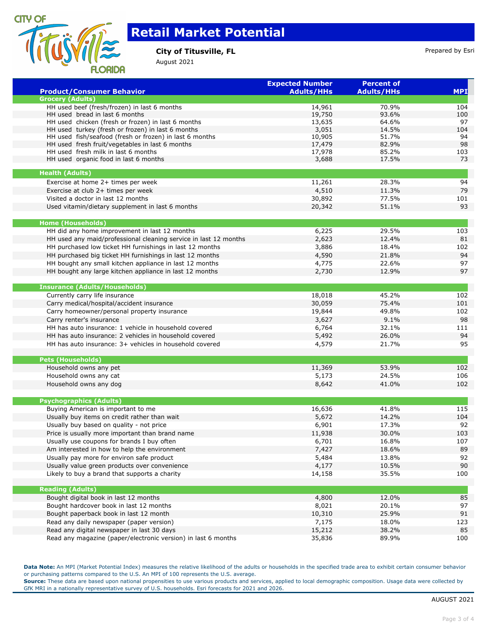

ī

Ξ

# **Retail Market Potential**

### **City of Titusville, FL City of Titusville, FL Prepared by Esri**

August 2021

| <b>Product/Consumer Behavior</b>                                 | <b>Expected Number</b><br><b>Adults/HHs</b> | <b>Percent of</b><br><b>Adults/HHs</b> | <b>MPI</b> |
|------------------------------------------------------------------|---------------------------------------------|----------------------------------------|------------|
| <b>Grocery (Adults)</b>                                          |                                             |                                        |            |
| HH used beef (fresh/frozen) in last 6 months                     | 14,961                                      | 70.9%                                  | 104        |
| HH used bread in last 6 months                                   | 19,750                                      | 93.6%                                  | 100        |
| HH used chicken (fresh or frozen) in last 6 months               | 13,635                                      | 64.6%                                  | 97         |
| HH used turkey (fresh or frozen) in last 6 months                | 3,051                                       | 14.5%                                  | 104        |
| HH used fish/seafood (fresh or frozen) in last 6 months          | 10,905                                      | 51.7%                                  | 94         |
| HH used fresh fruit/vegetables in last 6 months                  | 17,479                                      | 82.9%                                  | 98         |
| HH used fresh milk in last 6 months                              | 17,978                                      | 85.2%                                  | 103        |
| HH used organic food in last 6 months                            | 3,688                                       | 17.5%                                  | 73         |
| <b>Health (Adults)</b>                                           |                                             |                                        |            |
| Exercise at home 2+ times per week                               | 11,261                                      | 28.3%                                  | 94         |
| Exercise at club 2+ times per week                               | 4,510                                       | 11.3%                                  | 79         |
| Visited a doctor in last 12 months                               | 30,892                                      | 77.5%                                  | 101        |
| Used vitamin/dietary supplement in last 6 months                 | 20,342                                      | 51.1%                                  | 93         |
| <b>Home (Households)</b>                                         |                                             |                                        |            |
| HH did any home improvement in last 12 months                    | 6,225                                       | 29.5%                                  | 103        |
| HH used any maid/professional cleaning service in last 12 months | 2,623                                       | 12.4%                                  | 81         |
| HH purchased low ticket HH furnishings in last 12 months         | 3,886                                       | 18.4%                                  | 102        |
| HH purchased big ticket HH furnishings in last 12 months         | 4,590                                       | 21.8%                                  | 94         |
| HH bought any small kitchen appliance in last 12 months          | 4,775                                       | 22.6%                                  | 97         |
|                                                                  |                                             |                                        | 97         |
| HH bought any large kitchen appliance in last 12 months          | 2,730                                       | 12.9%                                  |            |
| <b>Insurance (Adults/Households)</b>                             |                                             |                                        |            |
| Currently carry life insurance                                   | 18,018                                      | 45.2%                                  | 102        |
| Carry medical/hospital/accident insurance                        | 30,059                                      | 75.4%                                  | 101        |
| Carry homeowner/personal property insurance                      | 19,844                                      | 49.8%                                  | 102        |
| Carry renter's insurance                                         | 3,627                                       | 9.1%                                   | 98         |
| HH has auto insurance: 1 vehicle in household covered            | 6,764                                       | 32.1%                                  | 111        |
| HH has auto insurance: 2 vehicles in household covered           | 5,492                                       | 26.0%                                  | 94         |
| HH has auto insurance: 3+ vehicles in household covered          | 4,579                                       | 21.7%                                  | 95         |
| <b>Pets (Households)</b>                                         |                                             |                                        |            |
| Household owns any pet                                           | 11,369                                      | 53.9%                                  | 102        |
| Household owns any cat                                           | 5,173                                       | 24.5%                                  | 106        |
| Household owns any dog                                           | 8,642                                       | 41.0%                                  | 102        |
|                                                                  |                                             |                                        |            |
| <b>Psychographics (Adults)</b>                                   |                                             |                                        |            |
| Buying American is important to me                               | 16,636                                      | 41.8%                                  | 115        |
| Usually buy items on credit rather than wait                     | 5,672                                       | 14.2%                                  | 104        |
| Usually buy based on quality - not price                         | 6,901                                       | 17.3%                                  | 92         |
| Price is usually more important than brand name                  | 11,938                                      | 30.0%                                  | 103        |
| Usually use coupons for brands I buy often                       | 6,701                                       | 16.8%                                  | 107        |
| Am interested in how to help the environment                     | 7,427                                       | 18.6%                                  | 89         |
| Usually pay more for environ safe product                        | 5,484                                       | 13.8%                                  | 92         |
| Usually value green products over convenience                    | 4,177                                       | 10.5%                                  | 90         |
| Likely to buy a brand that supports a charity                    | 14,158                                      | 35.5%                                  | 100        |
| <b>Reading (Adults)</b>                                          |                                             |                                        |            |
| Bought digital book in last 12 months                            | 4,800                                       | 12.0%                                  | 85         |
| Bought hardcover book in last 12 months                          | 8,021                                       | 20.1%                                  | 97         |
|                                                                  | 10,310                                      | 25.9%                                  | 91         |
| Bought paperback book in last 12 month                           |                                             |                                        |            |
| Read any daily newspaper (paper version)                         | 7,175                                       | 18.0%                                  | 123        |
| Read any digital newspaper in last 30 days                       | 15,212                                      | 38.2%                                  | 85         |
| Read any magazine (paper/electronic version) in last 6 months    | 35,836                                      | 89.9%                                  | 100        |

**Data Note:** An MPI (Market Potential Index) measures the relative likelihood of the adults or households in the specified trade area to exhibit certain consumer behavior or purchasing patterns compared to the U.S. An MPI of 100 represents the U.S. average.